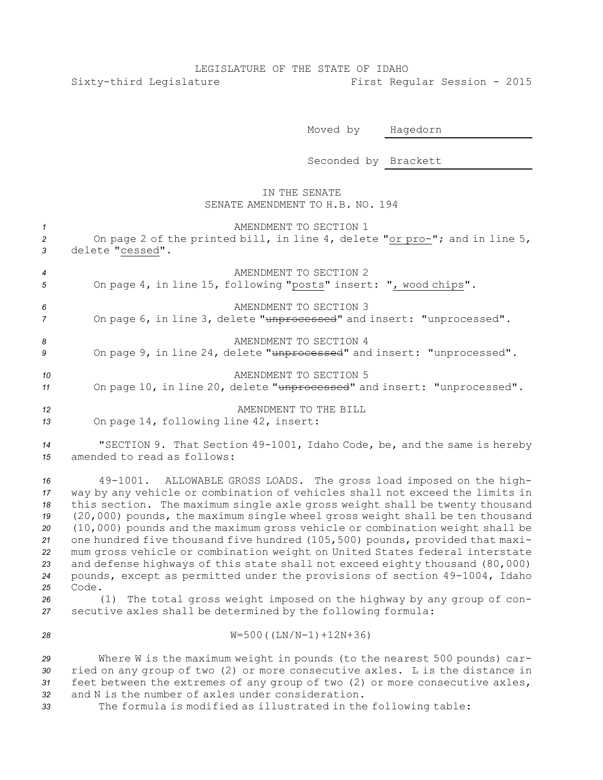## LEGISLATURE OF THE STATE OF IDAHO Sixty-third Legislature First Regular Session - 2015

Moved by Hagedorn

Seconded by Brackett

## IN THE SENATE SENATE AMENDMENT TO H.B. NO. 194

| $\mathcal{I}$                                                  | AMENDMENT TO SECTION 1                                                                                                                                                                                                                                                                                                                                                                                                                                                                                                                                                                                                                                                                                                                                                                                                   |
|----------------------------------------------------------------|--------------------------------------------------------------------------------------------------------------------------------------------------------------------------------------------------------------------------------------------------------------------------------------------------------------------------------------------------------------------------------------------------------------------------------------------------------------------------------------------------------------------------------------------------------------------------------------------------------------------------------------------------------------------------------------------------------------------------------------------------------------------------------------------------------------------------|
| $\overline{c}$                                                 | On page 2 of the printed bill, in line 4, delete "or pro-"; and in line 5,                                                                                                                                                                                                                                                                                                                                                                                                                                                                                                                                                                                                                                                                                                                                               |
| $\mathbf{3}$                                                   | delete "cessed".                                                                                                                                                                                                                                                                                                                                                                                                                                                                                                                                                                                                                                                                                                                                                                                                         |
| $\boldsymbol{4}$                                               | AMENDMENT TO SECTION 2                                                                                                                                                                                                                                                                                                                                                                                                                                                                                                                                                                                                                                                                                                                                                                                                   |
| 5                                                              | On page 4, in line 15, following "posts" insert: ", wood chips".                                                                                                                                                                                                                                                                                                                                                                                                                                                                                                                                                                                                                                                                                                                                                         |
| 6                                                              | AMENDMENT TO SECTION 3                                                                                                                                                                                                                                                                                                                                                                                                                                                                                                                                                                                                                                                                                                                                                                                                   |
| $\overline{7}$                                                 | On page 6, in line 3, delete "unprocessed" and insert: "unprocessed".                                                                                                                                                                                                                                                                                                                                                                                                                                                                                                                                                                                                                                                                                                                                                    |
| 8                                                              | AMENDMENT TO SECTION 4                                                                                                                                                                                                                                                                                                                                                                                                                                                                                                                                                                                                                                                                                                                                                                                                   |
| 9                                                              | On page 9, in line 24, delete "unprocessed" and insert: "unprocessed".                                                                                                                                                                                                                                                                                                                                                                                                                                                                                                                                                                                                                                                                                                                                                   |
| 10                                                             | AMENDMENT TO SECTION 5                                                                                                                                                                                                                                                                                                                                                                                                                                                                                                                                                                                                                                                                                                                                                                                                   |
| 11                                                             | On page 10, in line 20, delete "unprocessed" and insert: "unprocessed".                                                                                                                                                                                                                                                                                                                                                                                                                                                                                                                                                                                                                                                                                                                                                  |
| 12                                                             | AMENDMENT TO THE BILL                                                                                                                                                                                                                                                                                                                                                                                                                                                                                                                                                                                                                                                                                                                                                                                                    |
| 13                                                             | On page 14, following line 42, insert:                                                                                                                                                                                                                                                                                                                                                                                                                                                                                                                                                                                                                                                                                                                                                                                   |
| 14                                                             | "SECTION 9. That Section 49-1001, Idaho Code, be, and the same is hereby                                                                                                                                                                                                                                                                                                                                                                                                                                                                                                                                                                                                                                                                                                                                                 |
| 15                                                             | amended to read as follows:                                                                                                                                                                                                                                                                                                                                                                                                                                                                                                                                                                                                                                                                                                                                                                                              |
| 16<br>17<br>18<br>19<br>20<br>21<br>22<br>23<br>24<br>25<br>26 | ALLOWABLE GROSS LOADS. The gross load imposed on the high-<br>49-1001.<br>way by any vehicle or combination of vehicles shall not exceed the limits in<br>this section. The maximum single axle gross weight shall be twenty thousand<br>(20,000) pounds, the maximum single wheel gross weight shall be ten thousand<br>(10,000) pounds and the maximum gross vehicle or combination weight shall be<br>one hundred five thousand five hundred (105,500) pounds, provided that maxi-<br>mum gross vehicle or combination weight on United States federal interstate<br>and defense highways of this state shall not exceed eighty thousand (80,000)<br>pounds, except as permitted under the provisions of section 49-1004, Idaho<br>Code.<br>The total gross weight imposed on the highway by any group of con-<br>(1) |
| 27                                                             | secutive axles shall be determined by the following formula:                                                                                                                                                                                                                                                                                                                                                                                                                                                                                                                                                                                                                                                                                                                                                             |
| 28                                                             | $W = 500 ( (LN/N - 1) + 12N + 36)$                                                                                                                                                                                                                                                                                                                                                                                                                                                                                                                                                                                                                                                                                                                                                                                       |
| 29                                                             | Where W is the maximum weight in pounds (to the nearest 500 pounds) car-                                                                                                                                                                                                                                                                                                                                                                                                                                                                                                                                                                                                                                                                                                                                                 |
| 30                                                             | ried on any group of two (2) or more consecutive axles. L is the distance in                                                                                                                                                                                                                                                                                                                                                                                                                                                                                                                                                                                                                                                                                                                                             |
| 31                                                             | feet between the extremes of any group of two (2) or more consecutive axles,                                                                                                                                                                                                                                                                                                                                                                                                                                                                                                                                                                                                                                                                                                                                             |
| 32                                                             | and N is the number of axles under consideration.                                                                                                                                                                                                                                                                                                                                                                                                                                                                                                                                                                                                                                                                                                                                                                        |
| 33                                                             | The formula is modified as illustrated in the following table:                                                                                                                                                                                                                                                                                                                                                                                                                                                                                                                                                                                                                                                                                                                                                           |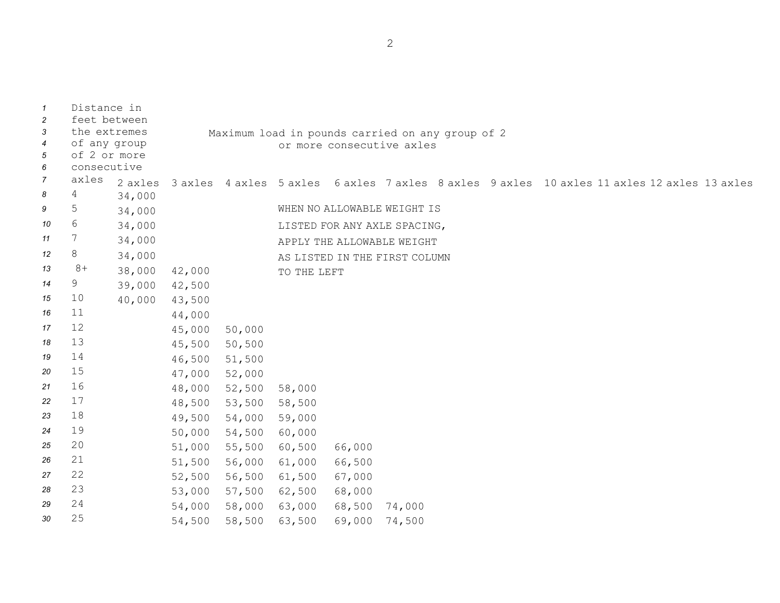| $\mathbf{1}$<br>$\overline{c}$<br>3<br>$\overline{4}$<br>5<br>6 | Distance in<br>feet between<br>the extremes<br>of any group<br>of 2 or more<br>consecutive |         |        |               | Maximum load in pounds carried on any group of 2 |        | or more consecutive axles     |  |                                                                                             |  |  |
|-----------------------------------------------------------------|--------------------------------------------------------------------------------------------|---------|--------|---------------|--------------------------------------------------|--------|-------------------------------|--|---------------------------------------------------------------------------------------------|--|--|
| $\overline{7}$                                                  | axles                                                                                      | 2 axles |        |               |                                                  |        |                               |  | 3 axles 4 axles 5 axles 6 axles 7 axles 8 axles 9 axles 10 axles 11 axles 12 axles 13 axles |  |  |
| 8                                                               | 4                                                                                          | 34,000  |        |               |                                                  |        |                               |  |                                                                                             |  |  |
| 9                                                               | 5                                                                                          | 34,000  |        |               |                                                  |        | WHEN NO ALLOWABLE WEIGHT IS   |  |                                                                                             |  |  |
| 10                                                              | $6\,$                                                                                      | 34,000  |        |               |                                                  |        | LISTED FOR ANY AXLE SPACING,  |  |                                                                                             |  |  |
| 11                                                              | $7\phantom{.0}$                                                                            | 34,000  |        |               |                                                  |        | APPLY THE ALLOWABLE WEIGHT    |  |                                                                                             |  |  |
| 12                                                              | 8                                                                                          | 34,000  |        |               |                                                  |        | AS LISTED IN THE FIRST COLUMN |  |                                                                                             |  |  |
| 13                                                              | $8+$                                                                                       | 38,000  | 42,000 |               | TO THE LEFT                                      |        |                               |  |                                                                                             |  |  |
| 14                                                              | 9                                                                                          | 39,000  | 42,500 |               |                                                  |        |                               |  |                                                                                             |  |  |
| 15                                                              | 10                                                                                         | 40,000  | 43,500 |               |                                                  |        |                               |  |                                                                                             |  |  |
| 16                                                              | 11                                                                                         |         | 44,000 |               |                                                  |        |                               |  |                                                                                             |  |  |
| 17                                                              | 12                                                                                         |         | 45,000 | 50,000        |                                                  |        |                               |  |                                                                                             |  |  |
| 18                                                              | 13                                                                                         |         | 45,500 | 50,500        |                                                  |        |                               |  |                                                                                             |  |  |
| 19                                                              | 14                                                                                         |         | 46,500 | 51,500        |                                                  |        |                               |  |                                                                                             |  |  |
| 20                                                              | 15                                                                                         |         | 47,000 | 52,000        |                                                  |        |                               |  |                                                                                             |  |  |
| 21                                                              | 16                                                                                         |         | 48,000 | 52,500        | 58,000                                           |        |                               |  |                                                                                             |  |  |
| 22                                                              | 17                                                                                         |         | 48,500 | 53,500 58,500 |                                                  |        |                               |  |                                                                                             |  |  |
| 23                                                              | 18                                                                                         |         | 49,500 | 54,000 59,000 |                                                  |        |                               |  |                                                                                             |  |  |
| 24                                                              | 19                                                                                         |         | 50,000 | 54,500        | 60,000                                           |        |                               |  |                                                                                             |  |  |
| 25                                                              | 20                                                                                         |         | 51,000 | 55,500 60,500 |                                                  | 66,000 |                               |  |                                                                                             |  |  |
| 26                                                              | 21                                                                                         |         | 51,500 | 56,000        | 61,000                                           | 66,500 |                               |  |                                                                                             |  |  |
| 27                                                              | 22                                                                                         |         | 52,500 | 56,500        | 61,500                                           | 67,000 |                               |  |                                                                                             |  |  |
| 28                                                              | 23                                                                                         |         | 53,000 | 57,500        | 62,500                                           | 68,000 |                               |  |                                                                                             |  |  |
| 29                                                              | 24                                                                                         |         | 54,000 | 58,000        | 63,000                                           | 68,500 | 74,000                        |  |                                                                                             |  |  |
| 30                                                              | 25                                                                                         |         | 54,500 | 58,500        | 63,500                                           | 69,000 | 74,500                        |  |                                                                                             |  |  |

2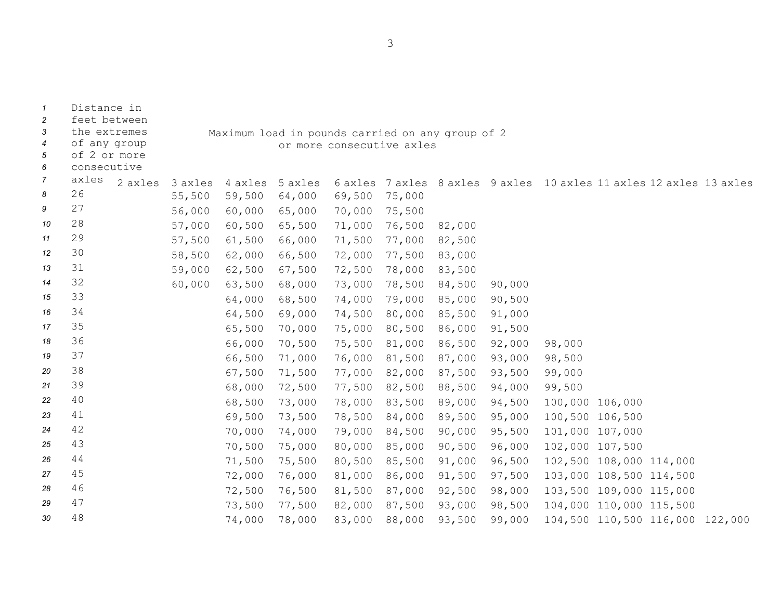Distance in feet between the extremes of any group of 2 or more consecutive Maximum load in pounds carried on any group of 2 or more consecutive axles *7* axles axles 3 axles 4 axles 5 axles 6 axles 7 axles 8 axles 9 axles 10 axles 11 axles 12 axles 13 axles <sup>26</sup> 55,500 59,500 64,000 69,500 75,000 <sup>27</sup> 56,000 60,000 65,000 70,000 75,500 <sup>28</sup> 57,000 60,500 65,500 71,000 76,500 82,000 <sup>29</sup> 57,500 61,500 66,000 71,500 77,000 82,500 <sup>30</sup> 58,500 62,000 66,500 72,000 77,500 83,000 <sup>31</sup> 59,000 62,500 67,500 72,500 78,000 83,500 <sup>32</sup> 60,000 63,500 68,000 73,000 78,500 84,500 90,000 <sup>33</sup> 64,000 68,500 74,000 79,000 85,000 90,500 <sup>34</sup> 64,500 69,000 74,500 80,000 85,500 91,000 <sup>35</sup> 65,500 70,000 75,000 80,500 86,000 91,500 <sup>36</sup> 66,000 70,500 75,500 81,000 86,500 92,000 98,000 <sup>37</sup> 66,500 71,000 76,000 81,500 87,000 93,000 98,500 <sup>38</sup> 67,500 71,500 77,000 82,000 87,500 93,500 99,000 <sup>39</sup> 68,000 72,500 77,500 82,500 88,500 94,000 99,500 <sup>40</sup> 68,500 73,000 78,000 83,500 89,000 94,500 100,000 106,000 <sup>41</sup> 69,500 73,500 78,500 84,000 89,500 95,000 100,500 106,500 <sup>42</sup> 70,000 74,000 79,000 84,500 90,000 95,500 101,000 107,000 <sup>43</sup> 70,500 75,000 80,000 85,000 90,500 96,000 102,000 107,500 <sup>44</sup> 71,500 75,500 80,500 85,500 91,000 96,500 102,500 108,000 114,000 <sup>45</sup> 72,000 76,000 81,000 86,000 91,500 97,500 103,000 108,500 114,500 <sup>46</sup> 72,500 76,500 81,500 87,000 92,500 98,000 103,500 109,000 115,000 <sup>47</sup> 73,500 77,500 82,000 87,500 93,000 98,500 104,000 110,000 115,500 <sup>48</sup> 74,000 78,000 83,000 88,000 93,500 99,000 104,500 110,500 116,000 122,000

3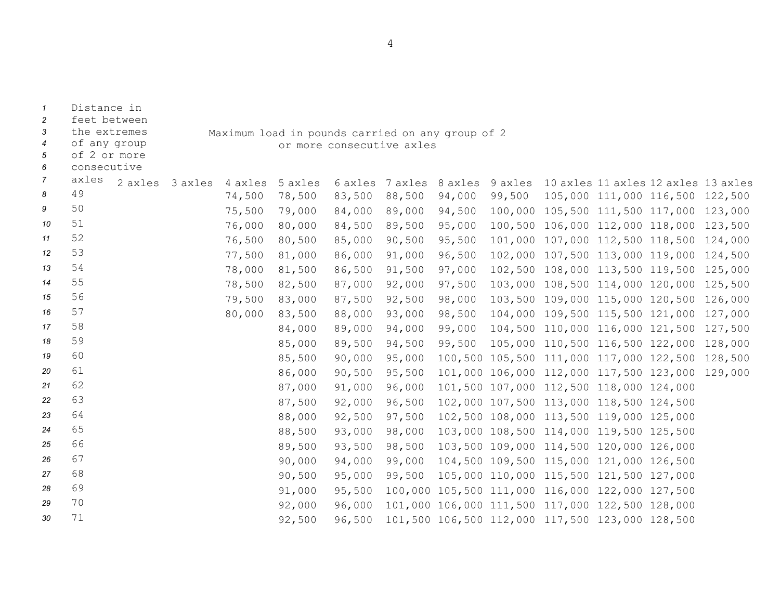| 3<br>$\overline{4}$<br>5<br>6 | the extremes<br>of any group<br>of 2 or more<br>consecutive |         |         |         | Maximum load in pounds carried on any group of 2<br>or more consecutive axles |         |         |         |        |                                                 |  |                                 |         |
|-------------------------------|-------------------------------------------------------------|---------|---------|---------|-------------------------------------------------------------------------------|---------|---------|---------|--------|-------------------------------------------------|--|---------------------------------|---------|
| 7                             | axles                                                       | 2 axles | 3 axles | 4 axles | 5 axles                                                                       | 6 axles | 7 axles | 8 axles |        | 9 axles 10 axles 11 axles 12 axles 13 axles     |  |                                 |         |
| 8                             | 49                                                          |         |         | 74,500  | 78,500                                                                        | 83,500  | 88,500  | 94,000  | 99,500 |                                                 |  | 105,000 111,000 116,500 122,500 |         |
| 9                             | 50                                                          |         |         | 75,500  | 79,000                                                                        | 84,000  | 89,000  | 94,500  |        | 100,000 105,500 111,500 117,000                 |  |                                 | 123,000 |
| 10                            | 51                                                          |         |         | 76,000  | 80,000                                                                        | 84,500  | 89,500  | 95,000  |        | 100,500 106,000 112,000 118,000                 |  |                                 | 123,500 |
| 11                            | 52                                                          |         |         | 76,500  | 80,500                                                                        | 85,000  | 90,500  | 95,500  |        | 101,000 107,000 112,500 118,500                 |  |                                 | 124,000 |
| 12                            | 53                                                          |         |         | 77,500  | 81,000                                                                        | 86,000  | 91,000  | 96,500  |        | 102,000 107,500 113,000 119,000                 |  |                                 | 124,500 |
| 13                            | 54                                                          |         |         | 78,000  | 81,500                                                                        | 86,500  | 91,500  | 97,000  |        | 102,500 108,000 113,500 119,500                 |  |                                 | 125,000 |
| 14                            | 55                                                          |         |         | 78,500  | 82,500                                                                        | 87,000  | 92,000  | 97,500  |        | 103,000 108,500 114,000 120,000                 |  |                                 | 125,500 |
| 15                            | 56                                                          |         |         | 79,500  | 83,000                                                                        | 87,500  | 92,500  | 98,000  |        | 103,500 109,000 115,000 120,500                 |  |                                 | 126,000 |
| 16                            | 57                                                          |         |         | 80,000  | 83,500                                                                        | 88,000  | 93,000  | 98,500  |        | 104,000 109,500 115,500 121,000                 |  |                                 | 127,000 |
| 17                            | 58                                                          |         |         |         | 84,000                                                                        | 89,000  | 94,000  | 99,000  |        | 104,500 110,000 116,000 121,500                 |  |                                 | 127,500 |
| 18                            | 59                                                          |         |         |         | 85,000                                                                        | 89,500  | 94,500  | 99,500  |        | 105,000 110,500 116,500 122,000                 |  |                                 | 128,000 |
| 19                            | 60                                                          |         |         |         | 85,500                                                                        | 90,000  | 95,000  |         |        | 100,500 105,500 111,000 117,000 122,500         |  |                                 | 128,500 |
| 20                            | 61                                                          |         |         |         | 86,000                                                                        | 90,500  | 95,500  |         |        | 101,000 106,000 112,000 117,500 123,000 129,000 |  |                                 |         |
| 21                            | 62                                                          |         |         |         | 87,000                                                                        | 91,000  | 96,000  |         |        | 101,500 107,000 112,500 118,000 124,000         |  |                                 |         |
| 22                            | 63                                                          |         |         |         | 87,500                                                                        | 92,000  | 96,500  |         |        | 102,000 107,500 113,000 118,500 124,500         |  |                                 |         |
| 23                            | 64                                                          |         |         |         | 88,000                                                                        | 92,500  | 97,500  |         |        | 102,500 108,000 113,500 119,000 125,000         |  |                                 |         |
| 24                            | 65                                                          |         |         |         | 88,500                                                                        | 93,000  | 98,000  |         |        | 103,000 108,500 114,000 119,500 125,500         |  |                                 |         |
| 25                            | 66                                                          |         |         |         | 89,500                                                                        | 93,500  | 98,500  |         |        | 103,500 109,000 114,500 120,000 126,000         |  |                                 |         |
| 26                            | 67                                                          |         |         |         | 90,000                                                                        | 94,000  | 99,000  |         |        | 104,500 109,500 115,000 121,000 126,500         |  |                                 |         |
| 27                            | 68                                                          |         |         |         | 90,500                                                                        | 95,000  | 99,500  |         |        | 105,000 110,000 115,500 121,500 127,000         |  |                                 |         |
| 28                            | 69                                                          |         |         |         | 91,000                                                                        | 95,500  |         |         |        | 100,000 105,500 111,000 116,000 122,000 127,500 |  |                                 |         |
| 29                            | 70                                                          |         |         |         | 92,000                                                                        | 96,000  |         |         |        | 101,000 106,000 111,500 117,000 122,500 128,000 |  |                                 |         |
| 30                            | 71                                                          |         |         |         | 92,500                                                                        | 96,500  |         |         |        | 101,500 106,500 112,000 117,500 123,000 128,500 |  |                                 |         |

4

*1* Distance in

*2* feet between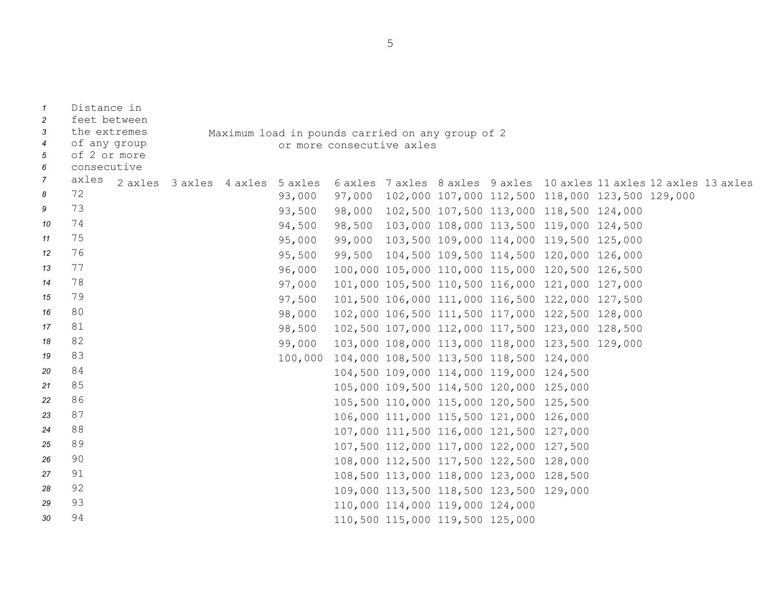| $\overline{1}$<br>2 | Distance in<br>feet between |                                                  |  |        |                           |                                 |  |                                                 |                                                                     |  |  |  |
|---------------------|-----------------------------|--------------------------------------------------|--|--------|---------------------------|---------------------------------|--|-------------------------------------------------|---------------------------------------------------------------------|--|--|--|
| 3                   | the extremes                | Maximum load in pounds carried on any group of 2 |  |        |                           |                                 |  |                                                 |                                                                     |  |  |  |
| $\overline{4}$      | of any group                |                                                  |  |        | or more consecutive axles |                                 |  |                                                 |                                                                     |  |  |  |
| 5                   | of 2 or more                |                                                  |  |        |                           |                                 |  |                                                 |                                                                     |  |  |  |
| 6                   | consecutive                 |                                                  |  |        |                           |                                 |  |                                                 |                                                                     |  |  |  |
| $\overline{7}$      | axles                       | 2 axles 3 axles 4 axles 5 axles                  |  |        |                           |                                 |  |                                                 | 6 axles 7 axles 8 axles 9 axles 10 axles 11 axles 12 axles 13 axles |  |  |  |
| 8                   | 72                          |                                                  |  | 93,000 |                           |                                 |  |                                                 | 97,000 102,000 107,000 112,500 118,000 123,500 129,000              |  |  |  |
| 9                   | 73                          |                                                  |  | 93,500 |                           |                                 |  |                                                 | 98,000 102,500 107,500 113,000 118,500 124,000                      |  |  |  |
| 10                  | 74                          |                                                  |  | 94,500 |                           |                                 |  |                                                 | 98,500 103,000 108,000 113,500 119,000 124,500                      |  |  |  |
| 11                  | 75                          |                                                  |  | 95,000 | 99,000                    |                                 |  |                                                 | 103,500 109,000 114,000 119,500 125,000                             |  |  |  |
| 12                  | 76                          |                                                  |  | 95,500 |                           |                                 |  |                                                 | 99,500 104,500 109,500 114,500 120,000 126,000                      |  |  |  |
| 13                  | 77                          |                                                  |  | 96,000 |                           |                                 |  |                                                 | 100,000 105,000 110,000 115,000 120,500 126,500                     |  |  |  |
| 14                  | 78                          |                                                  |  | 97,000 |                           |                                 |  |                                                 | 101,000 105,500 110,500 116,000 121,000 127,000                     |  |  |  |
| 15                  | 79                          |                                                  |  | 97,500 |                           |                                 |  |                                                 | 101,500 106,000 111,000 116,500 122,000 127,500                     |  |  |  |
| 16                  | 80                          |                                                  |  | 98,000 |                           |                                 |  |                                                 | 102,000 106,500 111,500 117,000 122,500 128,000                     |  |  |  |
| 17                  | 81                          |                                                  |  | 98,500 |                           |                                 |  |                                                 | 102,500 107,000 112,000 117,500 123,000 128,500                     |  |  |  |
| 18                  | 82                          |                                                  |  | 99,000 |                           |                                 |  |                                                 | 103,000 108,000 113,000 118,000 123,500 129,000                     |  |  |  |
| 19                  | 83                          |                                                  |  |        |                           |                                 |  | 100,000 104,000 108,500 113,500 118,500 124,000 |                                                                     |  |  |  |
| 20                  | 84                          |                                                  |  |        |                           |                                 |  | 104,500 109,000 114,000 119,000 124,500         |                                                                     |  |  |  |
| 21                  | 85                          |                                                  |  |        |                           |                                 |  | 105,000 109,500 114,500 120,000 125,000         |                                                                     |  |  |  |
| 22                  | 86                          |                                                  |  |        |                           |                                 |  | 105,500 110,000 115,000 120,500 125,500         |                                                                     |  |  |  |
| 23                  | 87                          |                                                  |  |        |                           |                                 |  | 106,000 111,000 115,500 121,000 126,000         |                                                                     |  |  |  |
| 24                  | 88                          |                                                  |  |        |                           |                                 |  | 107,000 111,500 116,000 121,500 127,000         |                                                                     |  |  |  |
| 25                  | 89                          |                                                  |  |        |                           |                                 |  | 107,500 112,000 117,000 122,000 127,500         |                                                                     |  |  |  |
| 26                  | 90                          |                                                  |  |        |                           |                                 |  | 108,000 112,500 117,500 122,500 128,000         |                                                                     |  |  |  |
| 27                  | 91                          |                                                  |  |        |                           |                                 |  | 108,500 113,000 118,000 123,000 128,500         |                                                                     |  |  |  |
| 28                  | 92                          |                                                  |  |        |                           |                                 |  | 109,000 113,500 118,500 123,500 129,000         |                                                                     |  |  |  |
| 29                  | 93                          |                                                  |  |        |                           | 110,000 114,000 119,000 124,000 |  |                                                 |                                                                     |  |  |  |
| 30                  | 94                          |                                                  |  |        |                           | 110,500 115,000 119,500 125,000 |  |                                                 |                                                                     |  |  |  |

5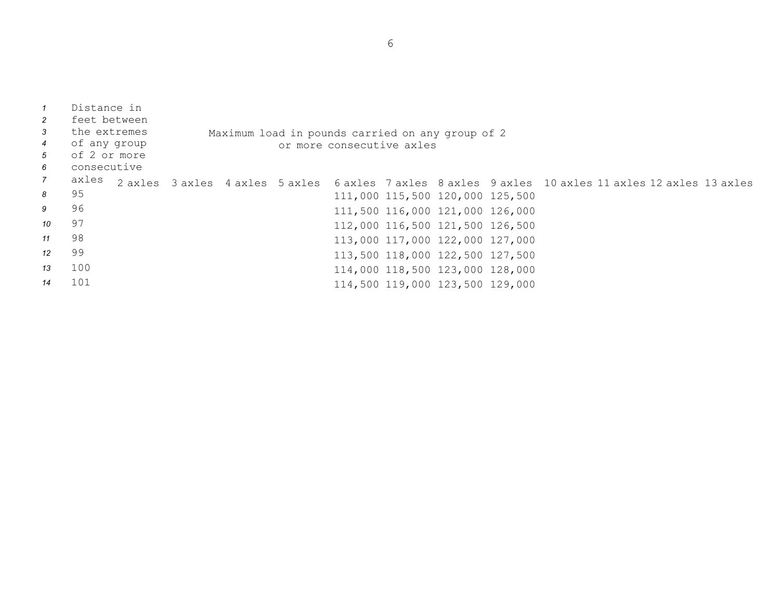| $\overline{1}$<br>2<br>$\mathbf{3}$<br>$\overline{4}$<br>$5\overline{)}$<br>6 | Distance in<br>feet between<br>the extremes<br>of any group<br>of 2 or more<br>consecutive |  |  | Maximum load in pounds carried on any group of 2<br>or more consecutive axles |                                 |  |                                                                                                     |
|-------------------------------------------------------------------------------|--------------------------------------------------------------------------------------------|--|--|-------------------------------------------------------------------------------|---------------------------------|--|-----------------------------------------------------------------------------------------------------|
| $\overline{7}$                                                                | axles                                                                                      |  |  |                                                                               |                                 |  | 2 axles 3 axles 4 axles 5 axles 6 axles 7 axles 8 axles 9 axles 10 axles 11 axles 12 axles 13 axles |
| 8                                                                             | 95                                                                                         |  |  |                                                                               | 111,000 115,500 120,000 125,500 |  |                                                                                                     |
| 9                                                                             | 96                                                                                         |  |  |                                                                               | 111,500 116,000 121,000 126,000 |  |                                                                                                     |
| 10                                                                            | 97                                                                                         |  |  |                                                                               | 112,000 116,500 121,500 126,500 |  |                                                                                                     |
| 11                                                                            | 98                                                                                         |  |  |                                                                               | 113,000 117,000 122,000 127,000 |  |                                                                                                     |
| 12                                                                            | 99                                                                                         |  |  |                                                                               | 113,500 118,000 122,500 127,500 |  |                                                                                                     |
| 13                                                                            | 100                                                                                        |  |  |                                                                               | 114,000 118,500 123,000 128,000 |  |                                                                                                     |
| 14                                                                            | 101                                                                                        |  |  |                                                                               | 114,500 119,000 123,500 129,000 |  |                                                                                                     |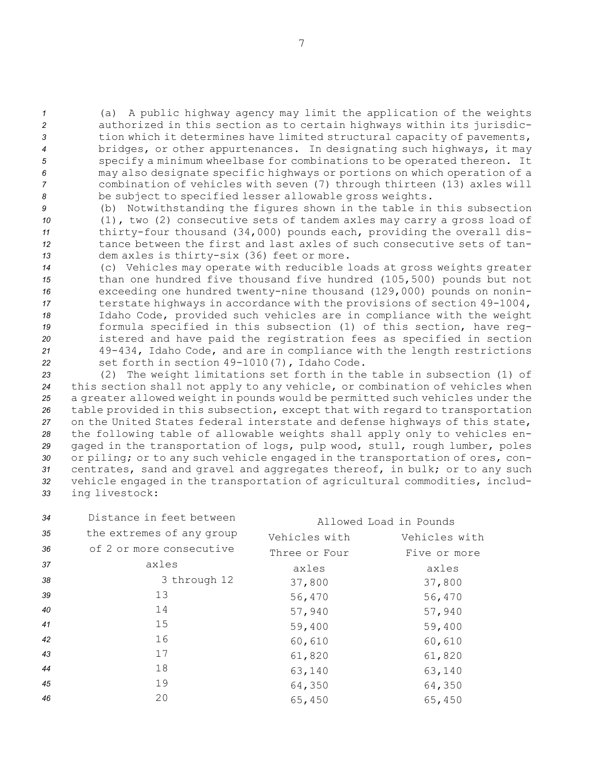(a) <sup>A</sup> public highway agency may limit the application of the weights authorized in this section as to certain highways within its jurisdic- tion which it determines have limited structural capacity of pavements, bridges, or other appurtenances. In designating such highways, it may specify <sup>a</sup> minimum wheelbase for combinations to be operated thereon. It may also designate specific highways or portions on which operation of <sup>a</sup> combination of vehicles with seven (7) through thirteen (13) axles will be subject to specified lesser allowable gross weights.

 (b) Notwithstanding the figures shown in the table in this subsection (1), two (2) consecutive sets of tandem axles may carry <sup>a</sup> gross load of thirty-four thousand (34,000) pounds each, providing the overall dis- tance between the first and last axles of such consecutive sets of tan-dem axles is thirty-six (36) feet or more.

 (c) Vehicles may operate with reducible loads at gross weights greater than one hundred five thousand five hundred (105,500) pounds but not exceeding one hundred twenty-nine thousand (129,000) pounds on nonin- terstate highways in accordance with the provisions of section 49-1004, Idaho Code, provided such vehicles are in compliance with the weight formula specified in this subsection (1) of this section, have reg- istered and have paid the registration fees as specified in section 49-434, Idaho Code, and are in compliance with the length restrictions set forth in section 49-1010(7), Idaho Code.

 (2) The weight limitations set forth in the table in subsection (1) of this section shall not apply to any vehicle, or combination of vehicles when <sup>a</sup> greater allowed weight in pounds would be permitted such vehicles under the table provided in this subsection, except that with regard to transportation on the United States federal interstate and defense highways of this state, the following table of allowable weights shall apply only to vehicles en- gaged in the transportation of logs, pulp wood, stull, rough lumber, poles or piling; or to any such vehicle engaged in the transportation of ores, con- centrates, sand and gravel and aggregates thereof, in bulk; or to any such vehicle engaged in the transportation of agricultural commodities, includ-ing livestock:

| 34 | Distance in feet between  |               | Allowed Load in Pounds |
|----|---------------------------|---------------|------------------------|
| 35 | the extremes of any group | Vehicles with | Vehicles with          |
| 36 | of 2 or more consecutive  | Three or Four | Five or more           |
| 37 | axles                     | axles         | axles                  |
| 38 | 3 through 12              | 37,800        | 37,800                 |
| 39 | 13                        | 56,470        | 56,470                 |
| 40 | 14                        | 57,940        | 57,940                 |
| 41 | 15                        | 59,400        | 59,400                 |
| 42 | 16                        | 60,610        | 60,610                 |
| 43 | 17                        | 61,820        | 61,820                 |
| 44 | 18                        | 63,140        | 63,140                 |
| 45 | 19                        | 64,350        | 64,350                 |
| 46 | 20                        | 65,450        | 65,450                 |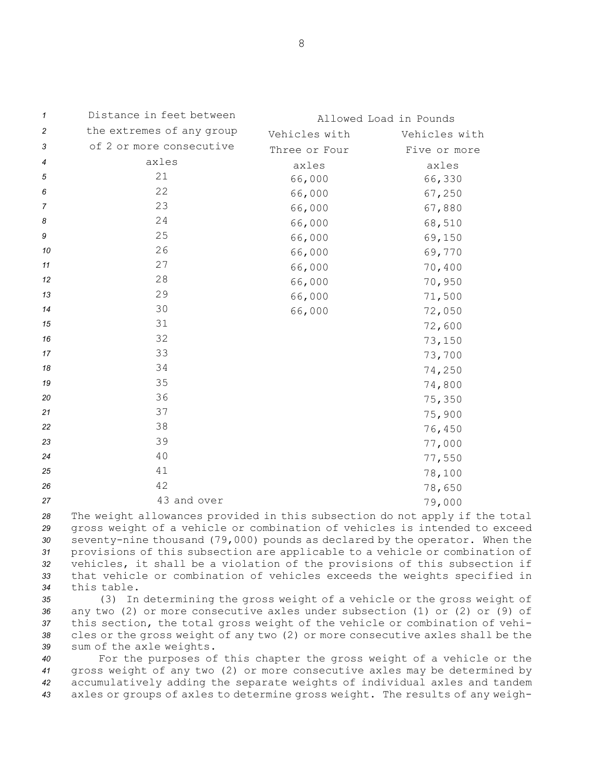| 1              | Distance in feet between  |               | Allowed Load in Pounds |
|----------------|---------------------------|---------------|------------------------|
| $\overline{c}$ | the extremes of any group | Vehicles with | Vehicles with          |
| 3              | of 2 or more consecutive  | Three or Four | Five or more           |
| 4              | axles                     | axles         | axles                  |
| 5              | 21                        | 66,000        | 66,330                 |
| 6              | 22                        | 66,000        | 67,250                 |
| $\overline{7}$ | 23                        | 66,000        | 67,880                 |
| 8              | 24                        | 66,000        | 68,510                 |
| 9              | 25                        | 66,000        | 69,150                 |
| 10             | 26                        | 66,000        | 69,770                 |
| 11             | 27                        | 66,000        | 70,400                 |
| 12             | 28                        | 66,000        | 70,950                 |
| 13             | 29                        | 66,000        | 71,500                 |
| 14             | 30                        | 66,000        | 72,050                 |
| 15             | 31                        |               | 72,600                 |
| 16             | 32                        |               | 73,150                 |
| 17             | 33                        |               | 73,700                 |
| 18             | 34                        |               | 74,250                 |
| 19             | 35                        |               | 74,800                 |
| 20             | 36                        |               | 75,350                 |
| 21             | 37                        |               | 75,900                 |
| 22             | 38                        |               | 76,450                 |
| 23             | 39                        |               | 77,000                 |
| 24             | 40                        |               | 77,550                 |
| 25             | 41                        |               | 78,100                 |
| 26             | 42                        |               | 78,650                 |
| 27             | 43 and over               |               | 79,000                 |

 The weight allowances provided in this subsection do not apply if the total gross weight of <sup>a</sup> vehicle or combination of vehicles is intended to exceed seventy-nine thousand (79,000) pounds as declared by the operator. When the provisions of this subsection are applicable to <sup>a</sup> vehicle or combination of vehicles, it shall be <sup>a</sup> violation of the provisions of this subsection if that vehicle or combination of vehicles exceeds the weights specified in this table.

 (3) In determining the gross weight of <sup>a</sup> vehicle or the gross weight of any two (2) or more consecutive axles under subsection (1) or (2) or (9) of this section, the total gross weight of the vehicle or combination of vehi- cles or the gross weight of any two (2) or more consecutive axles shall be the sum of the axle weights.

 For the purposes of this chapter the gross weight of <sup>a</sup> vehicle or the gross weight of any two (2) or more consecutive axles may be determined by accumulatively adding the separate weights of individual axles and tandem axles or groups of axles to determine gross weight. The results of any weigh-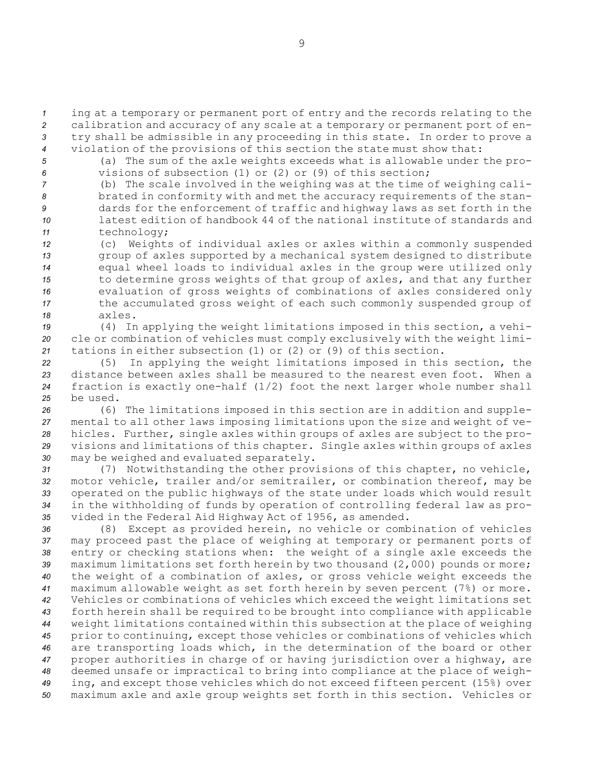*<sup>1</sup>* ing at <sup>a</sup> temporary or permanent port of entry and the records relating to the *<sup>2</sup>* calibration and accuracy of any scale at <sup>a</sup> temporary or permanent port of en-*<sup>3</sup>* try shall be admissible in any proceeding in this state. In order to prove <sup>a</sup>

*<sup>4</sup>* violation of the provisions of this section the state must show that:

*<sup>5</sup>* (a) The sum of the axle weights exceeds what is allowable under the pro-*6* visions of subsection (1) or (2) or (9) of this section;

 (b) The scale involved in the weighing was at the time of weighing cali- brated in conformity with and met the accuracy requirements of the stan- dards for the enforcement of traffic and highway laws as set forth in the latest edition of handbook 44 of the national institute of standards and technology;

 (c) Weights of individual axles or axles within <sup>a</sup> commonly suspended group of axles supported by <sup>a</sup> mechanical system designed to distribute equal wheel loads to individual axles in the group were utilized only to determine gross weights of that group of axles, and that any further evaluation of gross weights of combinations of axles considered only the accumulated gross weight of each such commonly suspended group of *18* axles.

*<sup>19</sup>* (4) In applying the weight limitations imposed in this section, <sup>a</sup> vehi-*<sup>20</sup>* cle or combination of vehicles must comply exclusively with the weight limi-*<sup>21</sup>* tations in either subsection (1) or (2) or (9) of this section.

 (5) In applying the weight limitations imposed in this section, the distance between axles shall be measured to the nearest even foot. When <sup>a</sup> fraction is exactly one-half (1/2) foot the next larger whole number shall *25* be used.

 (6) The limitations imposed in this section are in addition and supple- mental to all other laws imposing limitations upon the size and weight of ve- hicles. Further, single axles within groups of axles are subject to the pro- visions and limitations of this chapter. Single axles within groups of axles may be weighed and evaluated separately.

 (7) Notwithstanding the other provisions of this chapter, no vehicle, motor vehicle, trailer and/or semitrailer, or combination thereof, may be operated on the public highways of the state under loads which would result in the withholding of funds by operation of controlling federal law as pro-vided in the Federal Aid Highway Act of 1956, as amended.

 (8) Except as provided herein, no vehicle or combination of vehicles may proceed past the place of weighing at temporary or permanent ports of entry or checking stations when: the weight of <sup>a</sup> single axle exceeds the maximum limitations set forth herein by two thousand (2,000) pounds or more; the weight of <sup>a</sup> combination of axles, or gross vehicle weight exceeds the maximum allowable weight as set forth herein by seven percent (7%) or more. Vehicles or combinations of vehicles which exceed the weight limitations set forth herein shall be required to be brought into compliance with applicable weight limitations contained within this subsection at the place of weighing prior to continuing, except those vehicles or combinations of vehicles which are transporting loads which, in the determination of the board or other proper authorities in charge of or having jurisdiction over <sup>a</sup> highway, are deemed unsafe or impractical to bring into compliance at the place of weigh- ing, and except those vehicles which do not exceed fifteen percent (15%) over maximum axle and axle group weights set forth in this section. Vehicles or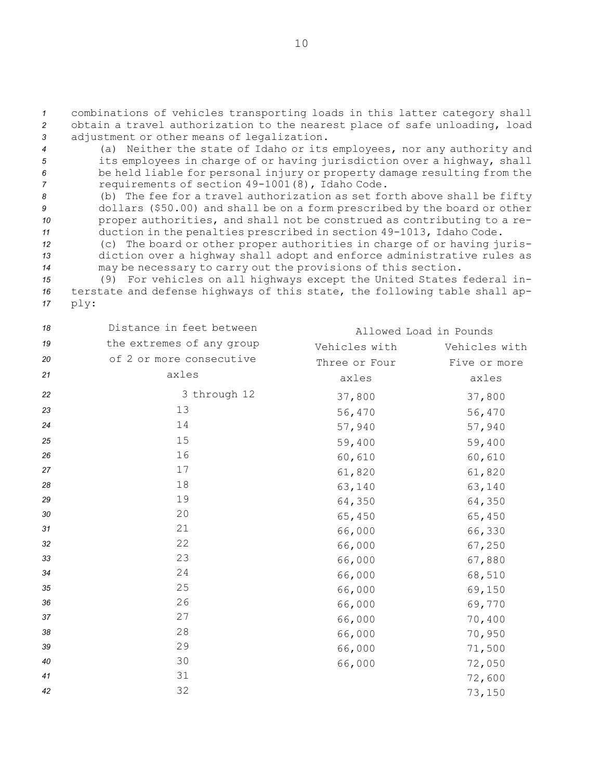*<sup>1</sup>* combinations of vehicles transporting loads in this latter category shall *<sup>2</sup>* obtain <sup>a</sup> travel authorization to the nearest place of safe unloading, load *<sup>3</sup>* adjustment or other means of legalization.

- *<sup>4</sup>* (a) Neither the state of Idaho or its employees, nor any authority and *<sup>5</sup>* its employees in charge of or having jurisdiction over <sup>a</sup> highway, shall *<sup>6</sup>* be held liable for personal injury or property damage resulting from the *<sup>7</sup>* requirements of section 49-1001(8), Idaho Code.
- *<sup>8</sup>* (b) The fee for <sup>a</sup> travel authorization as set forth above shall be fifty *<sup>9</sup>* dollars (\$50.00) and shall be on <sup>a</sup> form prescribed by the board or other *<sup>10</sup>* proper authorities, and shall not be construed as contributing to <sup>a</sup> re-*<sup>11</sup>* duction in the penalties prescribed in section 49-1013, Idaho Code.
- *<sup>12</sup>* (c) The board or other proper authorities in charge of or having juris-*<sup>13</sup>* diction over <sup>a</sup> highway shall adopt and enforce administrative rules as *<sup>14</sup>* may be necessary to carry out the provisions of this section.

*<sup>15</sup>* (9) For vehicles on all highways except the United States federal in-*<sup>16</sup>* terstate and defense highways of this state, the following table shall ap-*<sup>17</sup>* ply:

| 18 | Distance in feet between  |               | Allowed Load in Pounds |
|----|---------------------------|---------------|------------------------|
| 19 | the extremes of any group | Vehicles with | Vehicles with          |
| 20 | of 2 or more consecutive  | Three or Four | Five or more           |
| 21 | axles                     | axles         | axles                  |
| 22 | 3 through 12              | 37,800        | 37,800                 |
| 23 | 13                        | 56,470        | 56,470                 |
| 24 | 14                        | 57,940        | 57,940                 |
| 25 | 15                        | 59,400        | 59,400                 |
| 26 | 16                        | 60,610        | 60,610                 |
| 27 | 17                        | 61,820        | 61,820                 |
| 28 | 18                        | 63,140        | 63,140                 |
| 29 | 19                        | 64,350        | 64,350                 |
| 30 | 20                        | 65,450        | 65,450                 |
| 31 | 21                        | 66,000        | 66,330                 |
| 32 | 22                        | 66,000        | 67,250                 |
| 33 | 23                        | 66,000        | 67,880                 |
| 34 | 24                        | 66,000        | 68,510                 |
| 35 | 25                        | 66,000        | 69,150                 |
| 36 | 26                        | 66,000        | 69,770                 |
| 37 | 27                        | 66,000        | 70,400                 |
| 38 | 28                        | 66,000        | 70,950                 |
| 39 | 29                        | 66,000        | 71,500                 |
| 40 | 30                        | 66,000        | 72,050                 |
| 41 | 31                        |               | 72,600                 |
| 42 | 32                        |               | 73,150                 |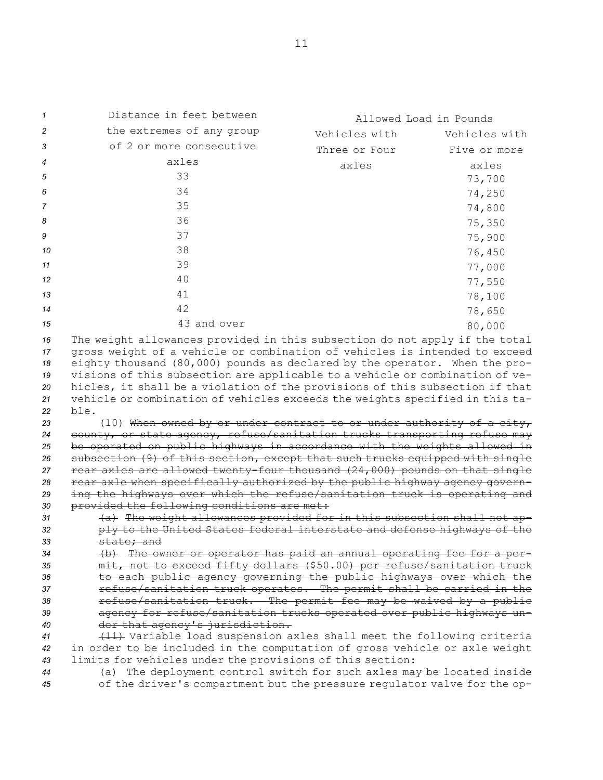| 1                                      | Distance in feet between                                                                                                                                                                                                                                                                                                                                                                                                                                                                        | Allowed Load in Pounds |               |
|----------------------------------------|-------------------------------------------------------------------------------------------------------------------------------------------------------------------------------------------------------------------------------------------------------------------------------------------------------------------------------------------------------------------------------------------------------------------------------------------------------------------------------------------------|------------------------|---------------|
| 2                                      | the extremes of any group                                                                                                                                                                                                                                                                                                                                                                                                                                                                       | Vehicles with          | Vehicles with |
| 3                                      | of 2 or more consecutive                                                                                                                                                                                                                                                                                                                                                                                                                                                                        | Three or Four          | Five or more  |
| 4                                      | axles                                                                                                                                                                                                                                                                                                                                                                                                                                                                                           | axles                  | axles         |
| 5                                      | 33                                                                                                                                                                                                                                                                                                                                                                                                                                                                                              |                        | 73,700        |
| 6                                      | 34                                                                                                                                                                                                                                                                                                                                                                                                                                                                                              |                        | 74,250        |
| 7                                      | 35                                                                                                                                                                                                                                                                                                                                                                                                                                                                                              |                        | 74,800        |
| 8                                      | 36                                                                                                                                                                                                                                                                                                                                                                                                                                                                                              |                        | 75,350        |
| 9                                      | 37                                                                                                                                                                                                                                                                                                                                                                                                                                                                                              |                        | 75,900        |
| 10                                     | 38                                                                                                                                                                                                                                                                                                                                                                                                                                                                                              |                        |               |
| 11                                     | 39                                                                                                                                                                                                                                                                                                                                                                                                                                                                                              |                        | 76,450        |
|                                        | 40                                                                                                                                                                                                                                                                                                                                                                                                                                                                                              |                        | 77,000        |
| 12                                     |                                                                                                                                                                                                                                                                                                                                                                                                                                                                                                 |                        | 77,550        |
| 13                                     | 41                                                                                                                                                                                                                                                                                                                                                                                                                                                                                              |                        | 78,100        |
| 14                                     | 42                                                                                                                                                                                                                                                                                                                                                                                                                                                                                              |                        | 78,650        |
| 15                                     | 43 and over                                                                                                                                                                                                                                                                                                                                                                                                                                                                                     |                        | 80,000        |
| 16<br>17<br>18<br>19<br>20<br>21<br>22 | The weight allowances provided in this subsection do not apply if the total<br>gross weight of a vehicle or combination of vehicles is intended to exceed<br>eighty thousand (80,000) pounds as declared by the operator. When the pro-<br>visions of this subsection are applicable to a vehicle or combination of ve-<br>hicles, it shall be a violation of the provisions of this subsection if that<br>vehicle or combination of vehicles exceeds the weights specified in this ta-<br>ble. |                        |               |
| 23                                     | (10) When owned by or under contract to or under authority of a city,<br>county, or state agency, refuse/sanitation trucks transporting refuse may                                                                                                                                                                                                                                                                                                                                              |                        |               |
| 24<br>25                               | be operated on public highways in accordance with the weights allowed in                                                                                                                                                                                                                                                                                                                                                                                                                        |                        |               |
| 26                                     | subsection (9) of this section, except that such trucks equipped with single                                                                                                                                                                                                                                                                                                                                                                                                                    |                        |               |
| 27                                     | rear axles are allowed twenty-four thousand (24,000) pounds on that single                                                                                                                                                                                                                                                                                                                                                                                                                      |                        |               |
| 28                                     | rear axle when specifically authorized by the public highway agency govern-                                                                                                                                                                                                                                                                                                                                                                                                                     |                        |               |
| 29                                     | ing the highways over which the refuse/sanitation truck is operating and                                                                                                                                                                                                                                                                                                                                                                                                                        |                        |               |
| 30<br>31                               | provided the following conditions are met:<br>(a) The weight allowances provided for in this subsection shall not ap-                                                                                                                                                                                                                                                                                                                                                                           |                        |               |
| 32                                     | ply to the United States federal interstate and defense highways of the                                                                                                                                                                                                                                                                                                                                                                                                                         |                        |               |
| 33                                     | state; and                                                                                                                                                                                                                                                                                                                                                                                                                                                                                      |                        |               |
| 34                                     | (b) The owner or operator has paid an annual operating fee for a per-                                                                                                                                                                                                                                                                                                                                                                                                                           |                        |               |
| 35                                     | mit, not to exceed fifty dollars (\$50.00) per refuse/sanitation truck                                                                                                                                                                                                                                                                                                                                                                                                                          |                        |               |
| 36                                     | to each public agency governing the public highways over which the                                                                                                                                                                                                                                                                                                                                                                                                                              |                        |               |
| 37<br>38                               | refuse/sanitation truck operates. The permit shall be carried in the<br>refuse/sanitation truck. The permit fee may be waived by a public                                                                                                                                                                                                                                                                                                                                                       |                        |               |
| 39                                     | agency for refuse/sanitation trucks operated over public highways un-                                                                                                                                                                                                                                                                                                                                                                                                                           |                        |               |
| 40                                     | der that agency's jurisdiction.                                                                                                                                                                                                                                                                                                                                                                                                                                                                 |                        |               |
| 41                                     | (11) Variable load suspension axles shall meet the following criteria                                                                                                                                                                                                                                                                                                                                                                                                                           |                        |               |
| 42                                     | in order to be included in the computation of gross vehicle or axle weight                                                                                                                                                                                                                                                                                                                                                                                                                      |                        |               |
| 43                                     | limits for vehicles under the provisions of this section:                                                                                                                                                                                                                                                                                                                                                                                                                                       |                        |               |
| 44                                     | (a) The deployment control switch for such axles may be located inside<br>of the driver's compartment but the pressure regulator valve for the op-                                                                                                                                                                                                                                                                                                                                              |                        |               |
| 45                                     |                                                                                                                                                                                                                                                                                                                                                                                                                                                                                                 |                        |               |